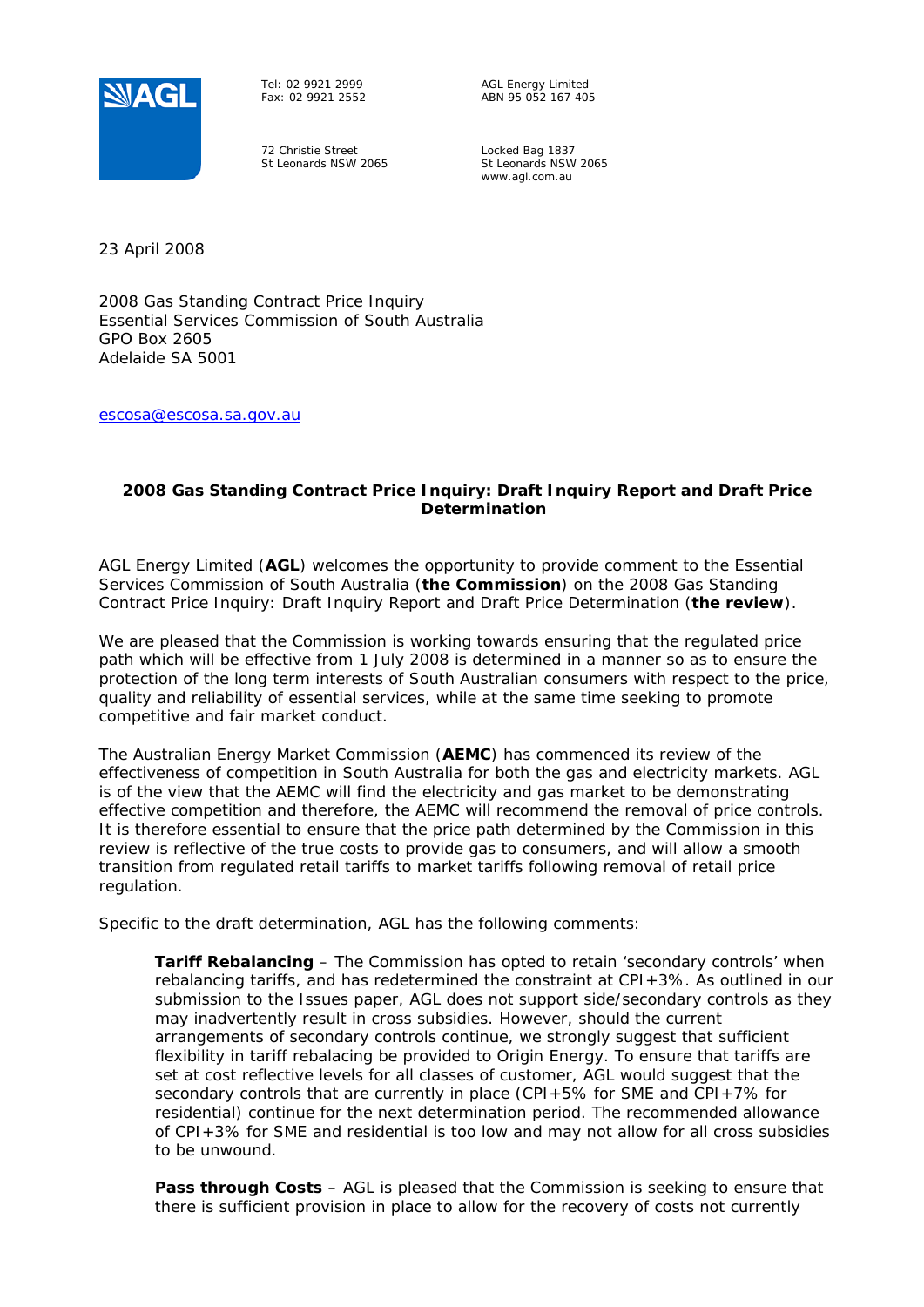

Tel: 02 9921 2999 Fax: 02 9921 2552

72 Christie Street St Leonards NSW 2065 AGL Energy Limited ABN 95 052 167 405

Locked Bag 1837 St Leonards NSW 2065 www.agl.com.au

23 April 2008

2008 Gas Standing Contract Price Inquiry Essential Services Commission of South Australia GPO Box 2605 Adelaide SA 5001

escosa@escosa.sa.gov.au

## **2008 Gas Standing Contract Price Inquiry: Draft Inquiry Report and Draft Price Determination**

AGL Energy Limited (*AGL*) welcomes the opportunity to provide comment to the Essential Services Commission of South Australia (*the Commission*) on the 2008 Gas Standing Contract Price Inquiry: Draft Inquiry Report and Draft Price Determination (*the review*).

We are pleased that the Commission is working towards ensuring that the regulated price path which will be effective from 1 July 2008 is determined in a manner so as to ensure the protection of the long term interests of South Australian consumers with respect to the price, quality and reliability of essential services, while at the same time seeking to promote competitive and fair market conduct.

The Australian Energy Market Commission (*AEMC*) has commenced its review of the effectiveness of competition in South Australia for both the gas and electricity markets. AGL is of the view that the AEMC will find the electricity and gas market to be demonstrating effective competition and therefore, the AEMC will recommend the removal of price controls. It is therefore essential to ensure that the price path determined by the Commission in this review is reflective of the true costs to provide gas to consumers, and will allow a smooth transition from regulated retail tariffs to market tariffs following removal of retail price regulation.

Specific to the draft determination, AGL has the following comments:

**Tariff Rebalancing** – The Commission has opted to retain 'secondary controls' when rebalancing tariffs, and has redetermined the constraint at CPI+3%. As outlined in our submission to the Issues paper, AGL does not support side/secondary controls as they may inadvertently result in cross subsidies. However, should the current arrangements of secondary controls continue, we strongly suggest that sufficient flexibility in tariff rebalacing be provided to Origin Energy. To ensure that tariffs are set at cost reflective levels for all classes of customer, AGL would suggest that the secondary controls that are currently in place (CPI+5% for SME and CPI+7% for residential) continue for the next determination period. The recommended allowance of CPI+3% for SME and residential is too low and may not allow for all cross subsidies to be unwound.

**Pass through Costs** – AGL is pleased that the Commission is seeking to ensure that there is sufficient provision in place to allow for the recovery of costs not currently